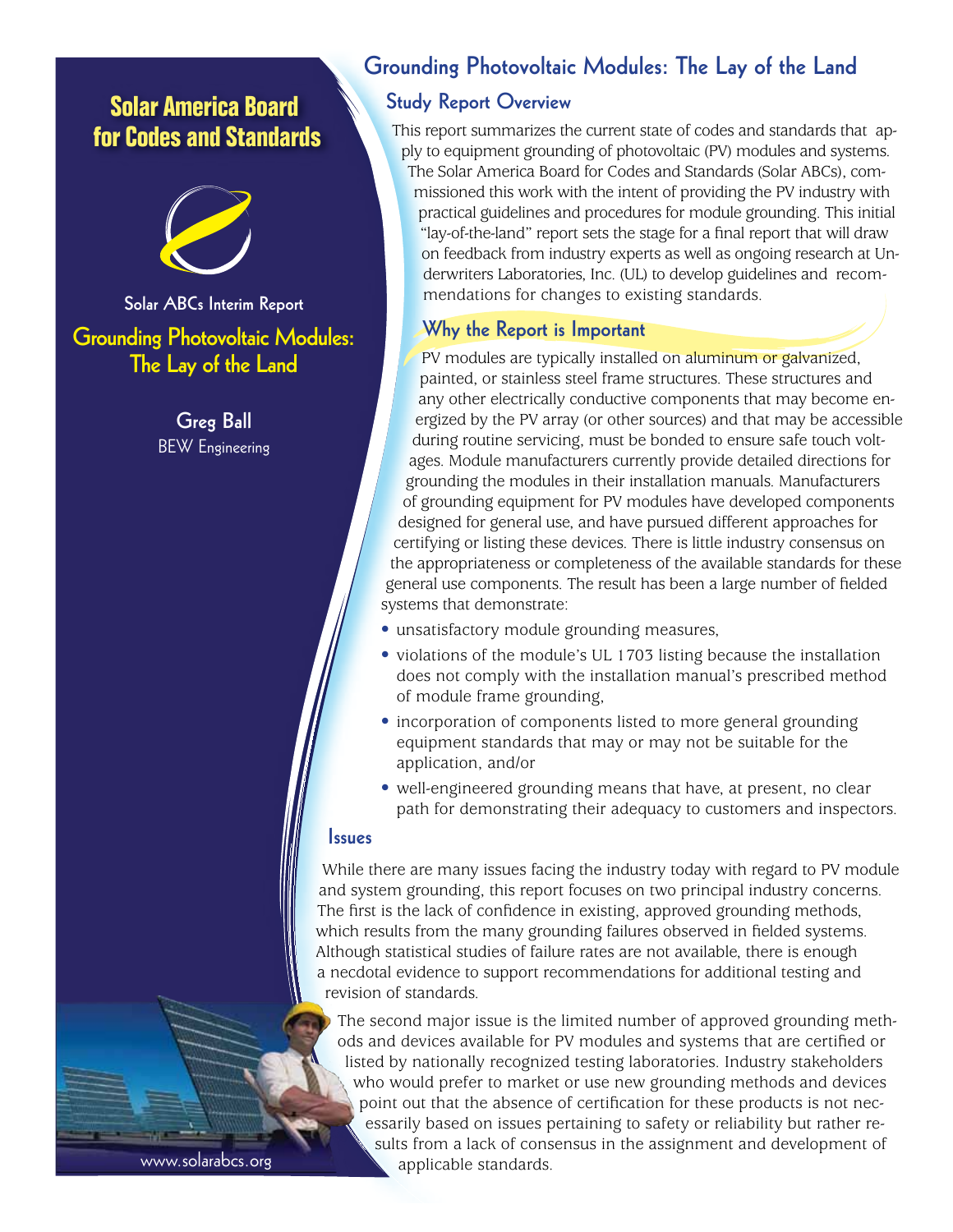# **Solar America Board for Codes and Standards**



**Solar ABCs Interim Report Grounding Photovoltaic Modules: The Lay of the Land**

> **Greg Ball** BEW Engineering

## **Grounding Photovoltaic Modules: The Lay of the Land**

### **Study Report Overview**

This report summarizes the current state of codes and standards that apply to equipment grounding of photovoltaic (PV) modules and systems. The Solar America Board for Codes and Standards (Solar ABCs), commissioned this work with the intent of providing the PV industry with practical guidelines and procedures for module grounding. This initial "lay-of-the-land" report sets the stage for a final report that will draw on feedback from industry experts as well as ongoing research at Underwriters Laboratories, Inc. (UL) to develop guidelines and recommendations for changes to existing standards.

### **Why the Report is Important**

PV modules are typically installed on aluminum or galvanized, painted, or stainless steel frame structures. These structures and any other electrically conductive components that may become energized by the PV array (or other sources) and that may be accessible during routine servicing, must be bonded to ensure safe touch voltages. Module manufacturers currently provide detailed directions for grounding the modules in their installation manuals. Manufacturers of grounding equipment for PV modules have developed components designed for general use, and have pursued different approaches for certifying or listing these devices. There is little industry consensus on the appropriateness or completeness of the available standards for these general use components. The result has been a large number of fielded systems that demonstrate:

- unsatisfactory module grounding measures,
- violations of the module's UL 1703 listing because the installation does not comply with the installation manual's prescribed method of module frame grounding,
- incorporation of components listed to more general grounding equipment standards that may or may not be suitable for the application, and/or
- well-engineered grounding means that have, at present, no clear path for demonstrating their adequacy to customers and inspectors.

#### **Issues**

While there are many issues facing the industry today with regard to PV module and system grounding, this report focuses on two principal industry concerns. The first is the lack of confidence in existing, approved grounding methods, which results from the many grounding failures observed in fielded systems. Although statistical studies of failure rates are not available, there is enough a necdotal evidence to support recommendations for additional testing and revision of standards.

The second major issue is the limited number of approved grounding methods and devices available for PV modules and systems that are certified or listed by nationally recognized testing laboratories. Industry stakeholders who would prefer to market or use new grounding methods and devices point out that the absence of certification for these products is not necessarily based on issues pertaining to safety or reliability but rather results from a lack of consensus in the assignment and development of applicable standards.